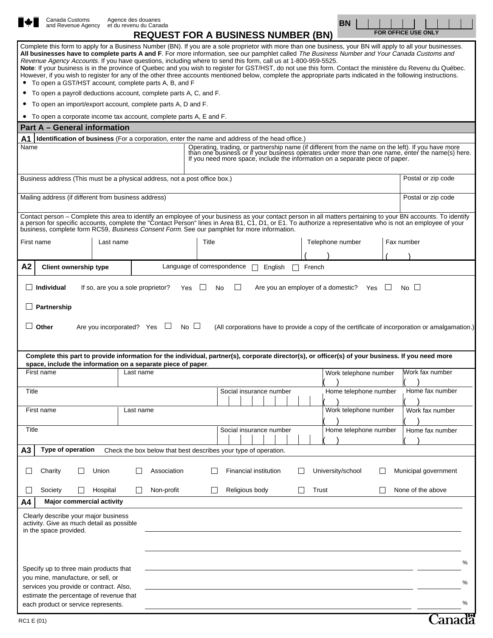|                |                                                                                                                                                                                                                                        | Canada Customs<br>and Revenue Agency |              |                                                                                   | Agence des douanes<br>et du revenu du Canada | <b>REQUEST FOR A BUSINESS NUMBER (BN)</b>                                                                                                                                |                            |  |                |                         |              |              | <b>BN</b>                                                                                                                                                                                                                                                                                                                                                                                                                                                                                                                                                                                                                                   |              | FOR OFFICE USE ONLY  |        |
|----------------|----------------------------------------------------------------------------------------------------------------------------------------------------------------------------------------------------------------------------------------|--------------------------------------|--------------|-----------------------------------------------------------------------------------|----------------------------------------------|--------------------------------------------------------------------------------------------------------------------------------------------------------------------------|----------------------------|--|----------------|-------------------------|--------------|--------------|---------------------------------------------------------------------------------------------------------------------------------------------------------------------------------------------------------------------------------------------------------------------------------------------------------------------------------------------------------------------------------------------------------------------------------------------------------------------------------------------------------------------------------------------------------------------------------------------------------------------------------------------|--------------|----------------------|--------|
|                |                                                                                                                                                                                                                                        |                                      |              |                                                                                   |                                              | Revenue Agency Accounts. If you have questions, including where to send this form, call us at 1-800-959-5525.<br>• To open a GST/HST account, complete parts A, B, and F |                            |  |                |                         |              |              | Complete this form to apply for a Business Number (BN). If you are a sole proprietor with more than one business, your BN will apply to all your businesses.<br>All businesses have to complete parts A and F. For more information, see our pamphlet called The Business Number and Your Canada Customs and<br>Note: If your business is in the province of Quebec and you wish to register for GST/HST, do not use this form. Contact the ministère du Revenu du Québec.<br>However, if you wish to register for any of the other three accounts mentioned below, complete the appropriate parts indicated in the following instructions. |              |                      |        |
|                | To open a payroll deductions account, complete parts A, C, and F.<br>To open an import/export account, complete parts A, D and F.                                                                                                      |                                      |              |                                                                                   |                                              |                                                                                                                                                                          |                            |  |                |                         |              |              |                                                                                                                                                                                                                                                                                                                                                                                                                                                                                                                                                                                                                                             |              |                      |        |
|                |                                                                                                                                                                                                                                        |                                      |              |                                                                                   |                                              | • To open a corporate income tax account, complete parts A, E and F.                                                                                                     |                            |  |                |                         |              |              |                                                                                                                                                                                                                                                                                                                                                                                                                                                                                                                                                                                                                                             |              |                      |        |
|                |                                                                                                                                                                                                                                        |                                      |              |                                                                                   |                                              |                                                                                                                                                                          |                            |  |                |                         |              |              |                                                                                                                                                                                                                                                                                                                                                                                                                                                                                                                                                                                                                                             |              |                      |        |
| A <sub>1</sub> | <b>Part A - General information</b><br><b>Identification of business</b> (For a corporation, enter the name and address of the head office.)                                                                                           |                                      |              |                                                                                   |                                              |                                                                                                                                                                          |                            |  |                |                         |              |              |                                                                                                                                                                                                                                                                                                                                                                                                                                                                                                                                                                                                                                             |              |                      |        |
|                | Name<br>Operating, trading, or partnership name (if different from the name on the left). If you have more than one business or if your business operates under more than one name, enter the name(s) here. If you need more space, in |                                      |              |                                                                                   |                                              |                                                                                                                                                                          |                            |  |                |                         |              |              |                                                                                                                                                                                                                                                                                                                                                                                                                                                                                                                                                                                                                                             |              |                      |        |
|                |                                                                                                                                                                                                                                        |                                      |              |                                                                                   |                                              | Business address (This must be a physical address, not a post office box.)                                                                                               |                            |  |                |                         |              |              |                                                                                                                                                                                                                                                                                                                                                                                                                                                                                                                                                                                                                                             |              | Postal or zip code   |        |
|                |                                                                                                                                                                                                                                        |                                      |              | Mailing address (if different from business address)                              |                                              |                                                                                                                                                                          |                            |  |                |                         |              |              |                                                                                                                                                                                                                                                                                                                                                                                                                                                                                                                                                                                                                                             |              | Postal or zip code   |        |
|                |                                                                                                                                                                                                                                        |                                      |              |                                                                                   |                                              | business, complete form RC59, Business Consent Form. See our pamphlet for more information.                                                                              |                            |  |                |                         |              |              | Contact person - Complete this area to identify an employee of your business as your contact person in all matters pertaining to your BN accounts. To identify<br>a person for specific accounts, complete the "Contact Person" lines in Area B1, C1, D1, or E1. To authorize a representative who is not an employee of your                                                                                                                                                                                                                                                                                                               |              |                      |        |
| First name     |                                                                                                                                                                                                                                        |                                      |              | Last name                                                                         |                                              |                                                                                                                                                                          | Title                      |  |                |                         |              |              | Telephone number                                                                                                                                                                                                                                                                                                                                                                                                                                                                                                                                                                                                                            |              | Fax number           |        |
|                |                                                                                                                                                                                                                                        |                                      |              |                                                                                   |                                              |                                                                                                                                                                          |                            |  |                |                         |              |              |                                                                                                                                                                                                                                                                                                                                                                                                                                                                                                                                                                                                                                             |              |                      |        |
| A2             |                                                                                                                                                                                                                                        | <b>Client ownership type</b>         |              |                                                                                   |                                              |                                                                                                                                                                          | Language of correspondence |  |                | English                 | $\mathbf{1}$ | French       |                                                                                                                                                                                                                                                                                                                                                                                                                                                                                                                                                                                                                                             |              |                      |        |
|                | $\Box$ Individual<br>$\Box$<br>Are you an employer of a domestic? Yes $\Box$<br>$\overline{\mathsf{No}}$ $\Box$<br>If so, are you a sole proprietor?<br>Yes<br>$\mathbf{I}$<br>No<br>$\Box$ Partnership                                |                                      |              |                                                                                   |                                              |                                                                                                                                                                          |                            |  |                |                         |              |              |                                                                                                                                                                                                                                                                                                                                                                                                                                                                                                                                                                                                                                             |              |                      |        |
|                | $\Box$ Other<br>Are you incorporated? Yes $\Box$ No $\Box$<br>(All corporations have to provide a copy of the certificate of incorporation or amalgamation.)                                                                           |                                      |              |                                                                                   |                                              |                                                                                                                                                                          |                            |  |                |                         |              |              |                                                                                                                                                                                                                                                                                                                                                                                                                                                                                                                                                                                                                                             |              |                      |        |
|                |                                                                                                                                                                                                                                        |                                      |              |                                                                                   |                                              | space, include the information on a separate piece of paper.                                                                                                             |                            |  |                |                         |              |              | Complete this part to provide information for the individual, partner(s), corporate director(s), or officer(s) of your business. If you need more                                                                                                                                                                                                                                                                                                                                                                                                                                                                                           |              |                      |        |
|                |                                                                                                                                                                                                                                        | First name                           |              |                                                                                   | Last name                                    |                                                                                                                                                                          |                            |  |                |                         |              |              | Work telephone number                                                                                                                                                                                                                                                                                                                                                                                                                                                                                                                                                                                                                       |              | Work fax number      |        |
| Title          |                                                                                                                                                                                                                                        |                                      |              |                                                                                   |                                              |                                                                                                                                                                          |                            |  |                | Social insurance number |              |              | Home telephone number                                                                                                                                                                                                                                                                                                                                                                                                                                                                                                                                                                                                                       |              | Home fax number      |        |
|                |                                                                                                                                                                                                                                        | First name                           |              |                                                                                   | Last name                                    |                                                                                                                                                                          |                            |  |                |                         |              |              | Work telephone number                                                                                                                                                                                                                                                                                                                                                                                                                                                                                                                                                                                                                       |              | Work fax number      |        |
| Title          |                                                                                                                                                                                                                                        |                                      |              |                                                                                   |                                              |                                                                                                                                                                          |                            |  |                | Social insurance number |              |              | Home telephone number                                                                                                                                                                                                                                                                                                                                                                                                                                                                                                                                                                                                                       |              | Home fax number      |        |
| A3             |                                                                                                                                                                                                                                        | Type of operation                    |              |                                                                                   |                                              | Check the box below that best describes your type of operation.                                                                                                          |                            |  |                |                         |              |              |                                                                                                                                                                                                                                                                                                                                                                                                                                                                                                                                                                                                                                             |              |                      |        |
|                |                                                                                                                                                                                                                                        |                                      |              |                                                                                   |                                              |                                                                                                                                                                          |                            |  |                |                         |              |              |                                                                                                                                                                                                                                                                                                                                                                                                                                                                                                                                                                                                                                             |              |                      |        |
| $\mathbf{L}$   |                                                                                                                                                                                                                                        | Charity                              | $\mathsf{L}$ | Union                                                                             |                                              | Association                                                                                                                                                              |                            |  |                | Financial institution   |              | $\mathsf{L}$ | University/school                                                                                                                                                                                                                                                                                                                                                                                                                                                                                                                                                                                                                           | $\mathbf{I}$ | Municipal government |        |
| $\mathbb{R}^n$ |                                                                                                                                                                                                                                        | Society                              | $\mathbf{1}$ | Hospital                                                                          | $\mathsf{L}$                                 | Non-profit                                                                                                                                                               | $\mathbf{I}$               |  | Religious body |                         |              | $\mathbf{I}$ | Trust                                                                                                                                                                                                                                                                                                                                                                                                                                                                                                                                                                                                                                       |              | None of the above    |        |
| Α4             |                                                                                                                                                                                                                                        |                                      |              | <b>Major commercial activity</b>                                                  |                                              |                                                                                                                                                                          |                            |  |                |                         |              |              |                                                                                                                                                                                                                                                                                                                                                                                                                                                                                                                                                                                                                                             |              |                      |        |
|                |                                                                                                                                                                                                                                        | in the space provided.               |              | Clearly describe your major business<br>activity. Give as much detail as possible |                                              |                                                                                                                                                                          |                            |  |                |                         |              |              |                                                                                                                                                                                                                                                                                                                                                                                                                                                                                                                                                                                                                                             |              |                      |        |
|                |                                                                                                                                                                                                                                        |                                      |              | Specify up to three main products that                                            |                                              |                                                                                                                                                                          |                            |  |                |                         |              |              |                                                                                                                                                                                                                                                                                                                                                                                                                                                                                                                                                                                                                                             |              |                      | %      |
|                | you mine, manufacture, or sell, or<br>%<br>services you provide or contract. Also,                                                                                                                                                     |                                      |              |                                                                                   |                                              |                                                                                                                                                                          |                            |  |                |                         |              |              |                                                                                                                                                                                                                                                                                                                                                                                                                                                                                                                                                                                                                                             |              |                      |        |
|                | estimate the percentage of revenue that<br>each product or service represents.                                                                                                                                                         |                                      |              |                                                                                   |                                              |                                                                                                                                                                          |                            |  |                |                         |              |              |                                                                                                                                                                                                                                                                                                                                                                                                                                                                                                                                                                                                                                             |              |                      |        |
|                |                                                                                                                                                                                                                                        |                                      |              |                                                                                   |                                              |                                                                                                                                                                          |                            |  |                |                         |              |              |                                                                                                                                                                                                                                                                                                                                                                                                                                                                                                                                                                                                                                             |              |                      | %      |
| RC1 E (01)     |                                                                                                                                                                                                                                        |                                      |              |                                                                                   |                                              |                                                                                                                                                                          |                            |  |                |                         |              |              |                                                                                                                                                                                                                                                                                                                                                                                                                                                                                                                                                                                                                                             |              |                      | Canadä |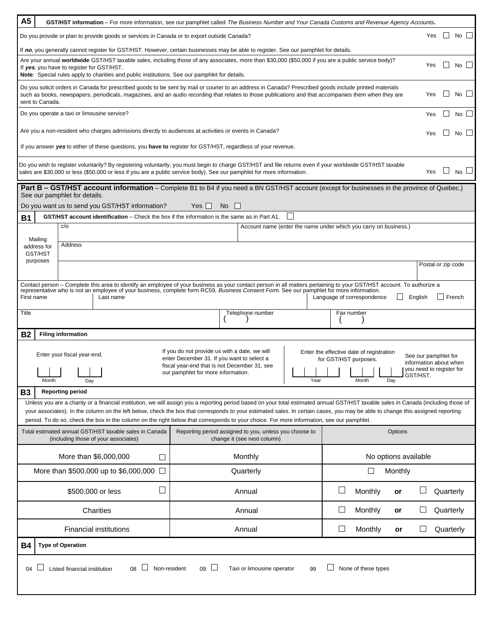| A <sub>5</sub><br>GST/HST information – For more information, see our pamphlet called The Business Number and Your Canada Customs and Revenue Agency Accounts.                                                                                                                                                                                |                                                                                                                                                                                     |                                                                  |  |  |  |  |  |  |  |  |
|-----------------------------------------------------------------------------------------------------------------------------------------------------------------------------------------------------------------------------------------------------------------------------------------------------------------------------------------------|-------------------------------------------------------------------------------------------------------------------------------------------------------------------------------------|------------------------------------------------------------------|--|--|--|--|--|--|--|--|
| Do you provide or plan to provide goods or services in Canada or to export outside Canada?                                                                                                                                                                                                                                                    |                                                                                                                                                                                     | No<br>Yes                                                        |  |  |  |  |  |  |  |  |
|                                                                                                                                                                                                                                                                                                                                               | If no, you generally cannot register for GST/HST. However, certain businesses may be able to register. See our pamphlet for details.                                                |                                                                  |  |  |  |  |  |  |  |  |
| Are your annual worldwide GST/HST taxable sales, including those of any associates, more than \$30,000 (\$50,000 if you are a public service body)?<br>Yes                                                                                                                                                                                    |                                                                                                                                                                                     |                                                                  |  |  |  |  |  |  |  |  |
| If yes, you have to register for GST/HST.<br>Note: Special rules apply to charities and public institutions. See our pamphlet for details.                                                                                                                                                                                                    |                                                                                                                                                                                     | $No$ $\Box$                                                      |  |  |  |  |  |  |  |  |
| Do you solicit orders in Canada for prescribed goods to be sent by mail or courier to an address in Canada? Prescribed goods include printed materials<br>such as books, newspapers, periodicals, magazines, and an audio recording that relates to those publications and that accompanies them when they are<br>sent to Canada.             |                                                                                                                                                                                     | No I<br>Yes                                                      |  |  |  |  |  |  |  |  |
| Do you operate a taxi or limousine service?                                                                                                                                                                                                                                                                                                   |                                                                                                                                                                                     | $\mathbf{I}$<br>Yes<br>$No \perp$                                |  |  |  |  |  |  |  |  |
| Are you a non-resident who charges admissions directly to audiences at activities or events in Canada?                                                                                                                                                                                                                                        |                                                                                                                                                                                     |                                                                  |  |  |  |  |  |  |  |  |
| If you answer yes to either of these questions, you have to register for GST/HST, regardless of your revenue.                                                                                                                                                                                                                                 |                                                                                                                                                                                     |                                                                  |  |  |  |  |  |  |  |  |
| Do you wish to register voluntarily? By registering voluntarily, you must begin to charge GST/HST and file returns even if your worldwide GST/HST taxable<br>$\Box$<br>sales are \$30,000 or less (\$50,000 or less if you are a public service body). See our pamphlet for more information.<br>No <sub>1</sub><br>Yes                       |                                                                                                                                                                                     |                                                                  |  |  |  |  |  |  |  |  |
| Part B - GST/HST account information - Complete B1 to B4 if you need a BN GST/HST account (except for businesses in the province of Quebec.)<br>See our pamphlet for details.                                                                                                                                                                 |                                                                                                                                                                                     |                                                                  |  |  |  |  |  |  |  |  |
| Do you want us to send you GST/HST information?                                                                                                                                                                                                                                                                                               | Yes $\Box$<br>No.                                                                                                                                                                   |                                                                  |  |  |  |  |  |  |  |  |
| GST/HST account identification - Check the box if the information is the same as in Part A1.<br><b>B1</b>                                                                                                                                                                                                                                     |                                                                                                                                                                                     |                                                                  |  |  |  |  |  |  |  |  |
| c/o                                                                                                                                                                                                                                                                                                                                           |                                                                                                                                                                                     | Account name (enter the name under which you carry on business.) |  |  |  |  |  |  |  |  |
| Mailing                                                                                                                                                                                                                                                                                                                                       |                                                                                                                                                                                     |                                                                  |  |  |  |  |  |  |  |  |
| address for<br>GST/HST                                                                                                                                                                                                                                                                                                                        | Address                                                                                                                                                                             |                                                                  |  |  |  |  |  |  |  |  |
| purposes                                                                                                                                                                                                                                                                                                                                      |                                                                                                                                                                                     | Postal or zip code                                               |  |  |  |  |  |  |  |  |
|                                                                                                                                                                                                                                                                                                                                               |                                                                                                                                                                                     |                                                                  |  |  |  |  |  |  |  |  |
| Contact person - Complete this area to identify an employee of your business as your contact person in all matters pertaining to your GST/HST account. To authorize a<br>representative who is not an employee of your business, complete form RC59, Business Consent Form. See our pamphlet for more information.<br>First name<br>Last name |                                                                                                                                                                                     | Language of correspondence<br>English<br><b>French</b>           |  |  |  |  |  |  |  |  |
| Title<br>Telephone number<br>Fax number                                                                                                                                                                                                                                                                                                       |                                                                                                                                                                                     |                                                                  |  |  |  |  |  |  |  |  |
|                                                                                                                                                                                                                                                                                                                                               |                                                                                                                                                                                     |                                                                  |  |  |  |  |  |  |  |  |
| <b>Filing information</b><br><b>B2</b>                                                                                                                                                                                                                                                                                                        |                                                                                                                                                                                     |                                                                  |  |  |  |  |  |  |  |  |
| Enter your fiscal year-end.                                                                                                                                                                                                                                                                                                                   | If you do not provide us with a date, we will<br>enter December 31. If you want to select a                                                                                         | Enter the effective date of registration<br>See our pamphlet for |  |  |  |  |  |  |  |  |
| for GST/HST purposes.<br>information about when<br>fiscal year-end that is not December 31, see<br>you need to register for<br>our pamphlet for more information.                                                                                                                                                                             |                                                                                                                                                                                     |                                                                  |  |  |  |  |  |  |  |  |
| Month<br>Day                                                                                                                                                                                                                                                                                                                                  | Year                                                                                                                                                                                | GST/HST.<br>Month<br>Day                                         |  |  |  |  |  |  |  |  |
| <b>Reporting period</b><br><b>B3</b>                                                                                                                                                                                                                                                                                                          |                                                                                                                                                                                     |                                                                  |  |  |  |  |  |  |  |  |
| your associates). In the column on the left below, check the box that corresponds to your estimated sales. In certain cases, you may be able to change this assigned reporting                                                                                                                                                                | Unless you are a charity or a financial institution, we will assign you a reporting period based on your total estimated annual GST/HST taxable sales in Canada (including those of |                                                                  |  |  |  |  |  |  |  |  |
|                                                                                                                                                                                                                                                                                                                                               | period. To do so, check the box in the column on the right below that corresponds to your choice. For more information, see our pamphlet.                                           |                                                                  |  |  |  |  |  |  |  |  |
| Total estimated annual GST/HST taxable sales in Canada<br>(including those of your associates)                                                                                                                                                                                                                                                | Reporting period assigned to you, unless you choose to<br>change it (see next column)                                                                                               | Options                                                          |  |  |  |  |  |  |  |  |
| More than \$6,000,000<br>$\mathbf{I}$                                                                                                                                                                                                                                                                                                         | Monthly                                                                                                                                                                             | No options available                                             |  |  |  |  |  |  |  |  |
| More than \$500,000 up to \$6,000,000 D                                                                                                                                                                                                                                                                                                       | Quarterly                                                                                                                                                                           | $\Box$<br>Monthly                                                |  |  |  |  |  |  |  |  |
| \$500,000 or less                                                                                                                                                                                                                                                                                                                             | Annual                                                                                                                                                                              | $\Box$<br>$\Box$<br>Monthly<br>Quarterly<br>or                   |  |  |  |  |  |  |  |  |
| Charities                                                                                                                                                                                                                                                                                                                                     | Annual                                                                                                                                                                              | $\Box$<br>□<br>Monthly<br>Quarterly<br>or                        |  |  |  |  |  |  |  |  |
| <b>Financial institutions</b>                                                                                                                                                                                                                                                                                                                 | Annual                                                                                                                                                                              | $\Box$<br>Monthly<br>ப<br>Quarterly<br>or                        |  |  |  |  |  |  |  |  |
| <b>B4</b><br><b>Type of Operation</b>                                                                                                                                                                                                                                                                                                         |                                                                                                                                                                                     |                                                                  |  |  |  |  |  |  |  |  |
| $_{09}$ $\Box$<br>08 $\Box$ Non-resident<br>None of these types<br>Listed financial institution<br>Taxi or limousine operator<br>99<br>ப                                                                                                                                                                                                      |                                                                                                                                                                                     |                                                                  |  |  |  |  |  |  |  |  |
| 04                                                                                                                                                                                                                                                                                                                                            |                                                                                                                                                                                     |                                                                  |  |  |  |  |  |  |  |  |
|                                                                                                                                                                                                                                                                                                                                               |                                                                                                                                                                                     |                                                                  |  |  |  |  |  |  |  |  |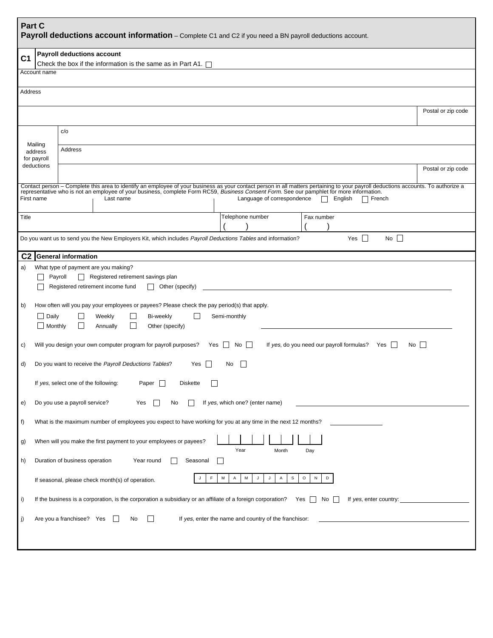| Part C<br>Payroll deductions account information - Complete C1 and C2 if you need a BN payroll deductions account.                                                                                                                                                                                                                                                                                                                                                                                                                                                   |                                                                                                                                                                                                                                                                                                                                                                                                                     |                                                                                                                                 |                    |  |  |  |  |  |  |
|----------------------------------------------------------------------------------------------------------------------------------------------------------------------------------------------------------------------------------------------------------------------------------------------------------------------------------------------------------------------------------------------------------------------------------------------------------------------------------------------------------------------------------------------------------------------|---------------------------------------------------------------------------------------------------------------------------------------------------------------------------------------------------------------------------------------------------------------------------------------------------------------------------------------------------------------------------------------------------------------------|---------------------------------------------------------------------------------------------------------------------------------|--------------------|--|--|--|--|--|--|
| C <sub>1</sub>                                                                                                                                                                                                                                                                                                                                                                                                                                                                                                                                                       | <b>Payroll deductions account</b><br>Check the box if the information is the same as in Part A1. $\Box$                                                                                                                                                                                                                                                                                                             |                                                                                                                                 |                    |  |  |  |  |  |  |
|                                                                                                                                                                                                                                                                                                                                                                                                                                                                                                                                                                      | Account name                                                                                                                                                                                                                                                                                                                                                                                                        |                                                                                                                                 |                    |  |  |  |  |  |  |
|                                                                                                                                                                                                                                                                                                                                                                                                                                                                                                                                                                      | Address                                                                                                                                                                                                                                                                                                                                                                                                             |                                                                                                                                 |                    |  |  |  |  |  |  |
|                                                                                                                                                                                                                                                                                                                                                                                                                                                                                                                                                                      |                                                                                                                                                                                                                                                                                                                                                                                                                     |                                                                                                                                 | Postal or zip code |  |  |  |  |  |  |
|                                                                                                                                                                                                                                                                                                                                                                                                                                                                                                                                                                      |                                                                                                                                                                                                                                                                                                                                                                                                                     | c/o                                                                                                                             |                    |  |  |  |  |  |  |
|                                                                                                                                                                                                                                                                                                                                                                                                                                                                                                                                                                      | Mailing<br>address<br>for payroll                                                                                                                                                                                                                                                                                                                                                                                   | Address                                                                                                                         |                    |  |  |  |  |  |  |
|                                                                                                                                                                                                                                                                                                                                                                                                                                                                                                                                                                      | deductions                                                                                                                                                                                                                                                                                                                                                                                                          |                                                                                                                                 | Postal or zip code |  |  |  |  |  |  |
|                                                                                                                                                                                                                                                                                                                                                                                                                                                                                                                                                                      | Contact person – Complete this area to identify an employee of your business as your contact person in all matters pertaining to your payroll deductions accounts. To authorize a<br>representative who is not an employee of your business, complete Form RC59, Business Consent Form. See our pamphlet for more information.<br>First name<br>Language of correspondence<br>$\Box$ English<br>Last name<br>French |                                                                                                                                 |                    |  |  |  |  |  |  |
| Title                                                                                                                                                                                                                                                                                                                                                                                                                                                                                                                                                                |                                                                                                                                                                                                                                                                                                                                                                                                                     | Telephone number<br>Fax number                                                                                                  |                    |  |  |  |  |  |  |
|                                                                                                                                                                                                                                                                                                                                                                                                                                                                                                                                                                      |                                                                                                                                                                                                                                                                                                                                                                                                                     | No<br>Yes $\Box$<br>Do you want us to send you the New Employers Kit, which includes Payroll Deductions Tables and information? |                    |  |  |  |  |  |  |
| C <sub>2</sub>                                                                                                                                                                                                                                                                                                                                                                                                                                                                                                                                                       |                                                                                                                                                                                                                                                                                                                                                                                                                     | <b>General information</b>                                                                                                      |                    |  |  |  |  |  |  |
| Registered retirement savings plan<br>Payroll<br>l 1<br>Registered retirement income fund<br>$\mathbf{1}$<br>Other (specify)<br>How often will you pay your employees or payees? Please check the pay period(s) that apply.<br>b)<br>$\Box$ Daily<br>Bi-weekly<br>$\mathsf{L}$<br>$\mathsf{L}$<br>Weekly<br>Semi-monthly<br>l 1<br>$\Box$<br>$\Box$ Monthly<br>$\Box$<br>Annually<br>Other (specify)<br>Will you design your own computer program for payroll purposes? Yes    <br>If yes, do you need our payroll formulas? Yes $\ \cdot\ $<br>No II<br>No II<br>C) |                                                                                                                                                                                                                                                                                                                                                                                                                     |                                                                                                                                 |                    |  |  |  |  |  |  |
| d)                                                                                                                                                                                                                                                                                                                                                                                                                                                                                                                                                                   | Do you want to receive the Payroll Deductions Tables?<br>Yes<br>$\mathbf{1}$<br>No                                                                                                                                                                                                                                                                                                                                  |                                                                                                                                 |                    |  |  |  |  |  |  |
|                                                                                                                                                                                                                                                                                                                                                                                                                                                                                                                                                                      |                                                                                                                                                                                                                                                                                                                                                                                                                     | If yes, select one of the following:<br>Paper<br><b>Diskette</b>                                                                |                    |  |  |  |  |  |  |
| e)                                                                                                                                                                                                                                                                                                                                                                                                                                                                                                                                                                   | Do you use a payroll service?<br>If yes, which one? (enter name)<br>Yes<br>No                                                                                                                                                                                                                                                                                                                                       |                                                                                                                                 |                    |  |  |  |  |  |  |
| f)                                                                                                                                                                                                                                                                                                                                                                                                                                                                                                                                                                   | What is the maximum number of employees you expect to have working for you at any time in the next 12 months?                                                                                                                                                                                                                                                                                                       |                                                                                                                                 |                    |  |  |  |  |  |  |
| g)                                                                                                                                                                                                                                                                                                                                                                                                                                                                                                                                                                   | When will you make the first payment to your employees or payees?<br>Year<br>Month<br>Day                                                                                                                                                                                                                                                                                                                           |                                                                                                                                 |                    |  |  |  |  |  |  |
| h)                                                                                                                                                                                                                                                                                                                                                                                                                                                                                                                                                                   | Duration of business operation<br>Year round<br>Seasonal                                                                                                                                                                                                                                                                                                                                                            |                                                                                                                                 |                    |  |  |  |  |  |  |
|                                                                                                                                                                                                                                                                                                                                                                                                                                                                                                                                                                      | М<br>$\mathbb S$<br>F<br>M<br>A<br>$\mathsf J$<br>J<br>A<br>$\circ$<br>${\sf N}$<br>D<br>If seasonal, please check month(s) of operation.                                                                                                                                                                                                                                                                           |                                                                                                                                 |                    |  |  |  |  |  |  |
| i)                                                                                                                                                                                                                                                                                                                                                                                                                                                                                                                                                                   | If the business is a corporation, is the corporation a subsidiary or an affiliate of a foreign corporation? Yes<br>No II<br>If yes, enter country:                                                                                                                                                                                                                                                                  |                                                                                                                                 |                    |  |  |  |  |  |  |
| J)                                                                                                                                                                                                                                                                                                                                                                                                                                                                                                                                                                   | Are you a franchisee? Yes<br>If yes, enter the name and country of the franchisor:<br>No<br>$\mathbf{I}$                                                                                                                                                                                                                                                                                                            |                                                                                                                                 |                    |  |  |  |  |  |  |